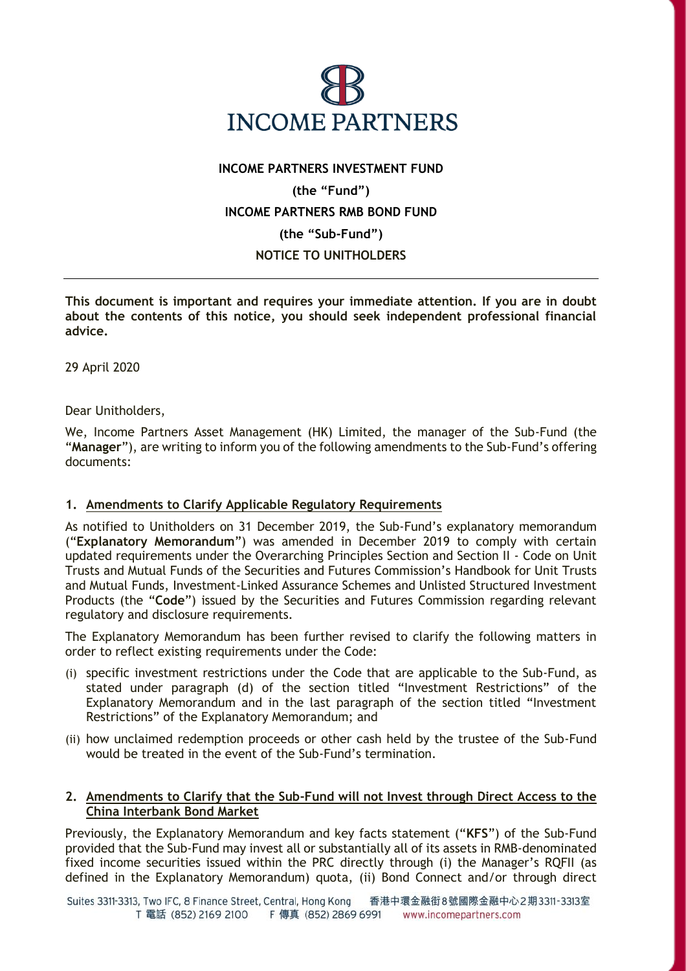

## **INCOME PARTNERS INVESTMENT FUND (the "Fund") INCOME PARTNERS RMB BOND FUND (the "Sub-Fund") NOTICE TO UNITHOLDERS**

**This document is important and requires your immediate attention. If you are in doubt about the contents of this notice, you should seek independent professional financial advice.**

29 April 2020

Dear Unitholders,

We, Income Partners Asset Management (HK) Limited, the manager of the Sub-Fund (the "**Manager**"), are writing to inform you of the following amendments to the Sub-Fund's offering documents:

## **1. Amendments to Clarify Applicable Regulatory Requirements**

As notified to Unitholders on 31 December 2019, the Sub-Fund's explanatory memorandum ("**Explanatory Memorandum**") was amended in December 2019 to comply with certain updated requirements under the Overarching Principles Section and Section II - Code on Unit Trusts and Mutual Funds of the Securities and Futures Commission's Handbook for Unit Trusts and Mutual Funds, Investment-Linked Assurance Schemes and Unlisted Structured Investment Products (the "**Code**") issued by the Securities and Futures Commission regarding relevant regulatory and disclosure requirements.

The Explanatory Memorandum has been further revised to clarify the following matters in order to reflect existing requirements under the Code:

- (i) specific investment restrictions under the Code that are applicable to the Sub-Fund, as stated under paragraph (d) of the section titled "Investment Restrictions" of the Explanatory Memorandum and in the last paragraph of the section titled "Investment Restrictions" of the Explanatory Memorandum; and
- (ii) how unclaimed redemption proceeds or other cash held by the trustee of the Sub-Fund would be treated in the event of the Sub-Fund's termination.

## **2. Amendments to Clarify that the Sub-Fund will not Invest through Direct Access to the China Interbank Bond Market**

Previously, the Explanatory Memorandum and key facts statement ("**KFS**") of the Sub-Fund provided that the Sub-Fund may invest all or substantially all of its assets in RMB-denominated fixed income securities issued within the PRC directly through (i) the Manager's RQFII (as defined in the Explanatory Memorandum) quota, (ii) Bond Connect and/or through direct